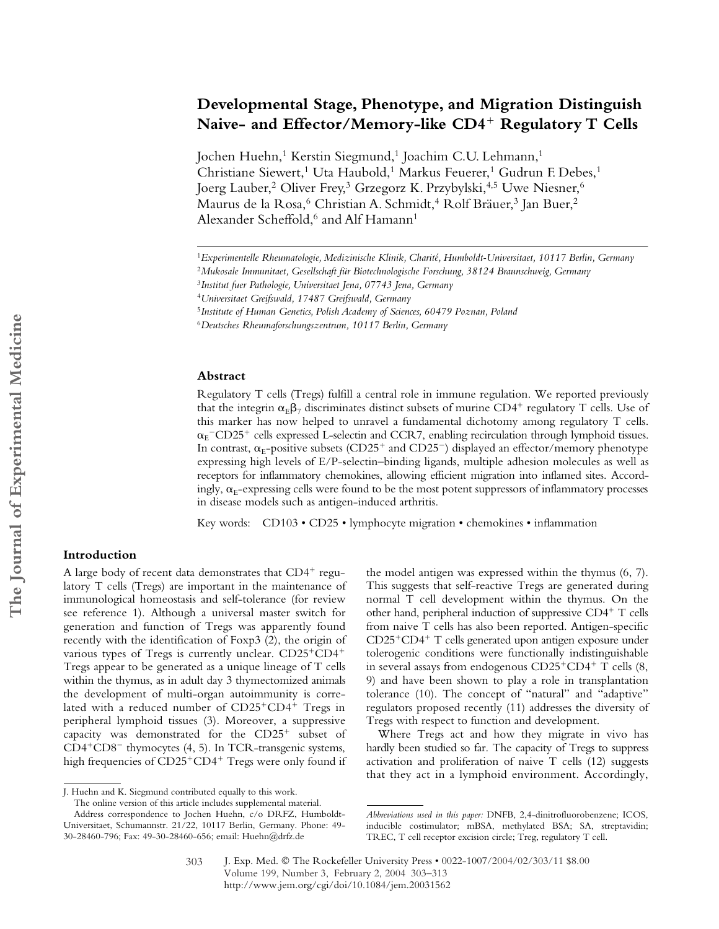# **Developmental Stage, Phenotype, and Migration Distinguish Naive- and Effector/Memory-like CD4**- **Regulatory T Cells**

Jochen Huehn,<sup>1</sup> Kerstin Siegmund,<sup>1</sup> Joachim C.U. Lehmann,<sup>1</sup> Christiane Siewert,<sup>1</sup> Uta Haubold,<sup>1</sup> Markus Feuerer,<sup>1</sup> Gudrun F. Debes,<sup>1</sup> Joerg Lauber,<sup>2</sup> Oliver Frey,<sup>3</sup> Grzegorz K. Przybylski,<sup>4,5</sup> Uwe Niesner,<sup>6</sup> Maurus de la Rosa,<sup>6</sup> Christian A. Schmidt,<sup>4</sup> Rolf Bräuer,<sup>3</sup> Jan Buer,<sup>2</sup> Alexander Scheffold,<sup>6</sup> and Alf Hamann<sup>1</sup>

#### **Abstract**

Regulatory T cells (Tregs) fulfill a central role in immune regulation. We reported previously that the integrin  $\alpha_{\rm E} \beta_7$  discriminates distinct subsets of murine CD4<sup>+</sup> regulatory T cells. Use of this marker has now helped to unravel a fundamental dichotomy among regulatory T cells.  $\alpha_{\rm E}$ <sup>-</sup>CD25<sup>+</sup> cells expressed L-selectin and CCR7, enabling recirculation through lymphoid tissues. In contrast,  $\alpha_{\rm E}$ -positive subsets (CD25 $^+$  and CD25 $^-$ ) displayed an effector/memory phenotype expressing high levels of E/P-selectin–binding ligands, multiple adhesion molecules as well as receptors for inflammatory chemokines, allowing efficient migration into inflamed sites. Accordingly,  $\alpha_{\rm E}$ -expressing cells were found to be the most potent suppressors of inflammatory processes in disease models such as antigen-induced arthritis.

Key words: CD103 • CD25 • lymphocyte migration • chemokines • inflammation

## **Introduction**

A large body of recent data demonstrates that CD4<sup>+</sup> regulatory T cells (Tregs) are important in the maintenance of immunological homeostasis and self-tolerance (for review see reference 1). Although a universal master switch for generation and function of Tregs was apparently found recently with the identification of Foxp3 (2), the origin of various types of Tregs is currently unclear. CD25+CD4+ Tregs appear to be generated as a unique lineage of T cells within the thymus, as in adult day 3 thymectomized animals the development of multi-organ autoimmunity is correlated with a reduced number of CD25<sup>+</sup>CD4<sup>+</sup> Tregs in peripheral lymphoid tissues (3). Moreover, a suppressive capacity was demonstrated for the CD25<sup>+</sup> subset of CD4<sup>+</sup>CD8<sup>-</sup> thymocytes (4, 5). In TCR-transgenic systems, high frequencies of CD25<sup>+</sup>CD4<sup>+</sup> Tregs were only found if

the model antigen was expressed within the thymus (6, 7). This suggests that self-reactive Tregs are generated during normal T cell development within the thymus. On the other hand, peripheral induction of suppressive CD4<sup>+</sup> T cells from naive T cells has also been reported. Antigen-specific CD25<sup>+</sup>CD4<sup>+</sup> T cells generated upon antigen exposure under tolerogenic conditions were functionally indistinguishable in several assays from endogenous CD25<sup>+</sup>CD4<sup>+</sup> T cells (8, 9) and have been shown to play a role in transplantation tolerance (10). The concept of "natural" and "adaptive" regulators proposed recently (11) addresses the diversity of Tregs with respect to function and development.

Where Tregs act and how they migrate in vivo has hardly been studied so far. The capacity of Tregs to suppress activation and proliferation of naive T cells (12) suggests that they act in a lymphoid environment. Accordingly,

<sup>1</sup>*Experimentelle Rheumatologie, Medizinische Klinik, Charité, Humboldt-Universitaet, 10117 Berlin, Germany*

<sup>2</sup>*Mukosale Immunitaet, Gesellschaft für Biotechnologische Forschung, 38124 Braunschweig, Germany*

<sup>3</sup>*Institut fuer Pathologie, Universitaet Jena, 07743 Jena, Germany*

<sup>4</sup>*Universitaet Greifswald, 17487 Greifswald, Germany*

<sup>5</sup>*Institute of Human Genetics, Polish Academy of Sciences, 60479 Poznan, Poland*

<sup>6</sup>*Deutsches Rheumaforschungszentrum, 10117 Berlin, Germany*

J. Huehn and K. Siegmund contributed equally to this work.

The online version of this article includes supplemental material. Address correspondence to Jochen Huehn, c/o DRFZ, Humboldt-Universitaet, Schumannstr. 21/22, 10117 Berlin, Germany. Phone: 49- 30-28460-796; Fax: 49-30-28460-656; email: Huehn@drfz.de

*Abbreviations used in this paper:* DNFB, 2,4-dinitrofluorobenzene; ICOS, inducible costimulator; mBSA, methylated BSA; SA, streptavidin; TREC, T cell receptor excision circle; Treg, regulatory T cell.

J. Exp. Med. © The Rockefeller University Press • 0022-1007/2004/02/303/11 \$8.00 Volume 199, Number 3, February 2, 2004 303–313 http://www.jem.org/cgi/doi/10.1084/jem.20031562

<sup>303</sup>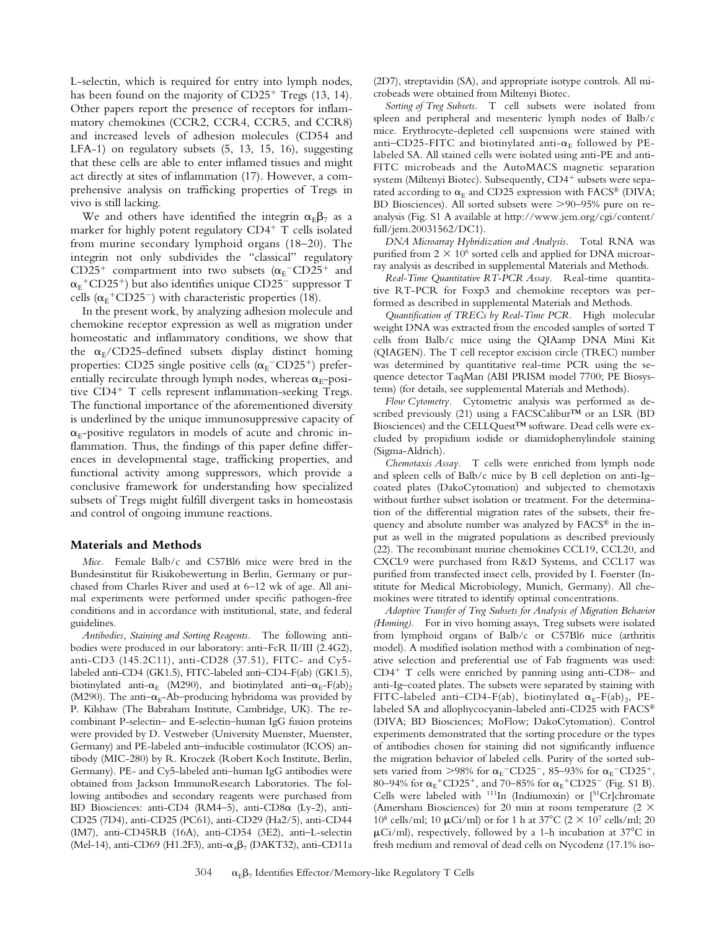L-selectin, which is required for entry into lymph nodes, has been found on the majority of CD25<sup>+</sup> Tregs (13, 14). Other papers report the presence of receptors for inflammatory chemokines (CCR2, CCR4, CCR5, and CCR8) and increased levels of adhesion molecules (CD54 and LFA-1) on regulatory subsets (5, 13, 15, 16), suggesting that these cells are able to enter inflamed tissues and might act directly at sites of inflammation (17). However, a comprehensive analysis on trafficking properties of Tregs in vivo is still lacking.

We and others have identified the integrin  $\alpha_{E}\beta_{7}$  as a marker for highly potent regulatory CD4- T cells isolated from murine secondary lymphoid organs (18–20). The integrin not only subdivides the "classical" regulatory CD25<sup>+</sup> compartment into two subsets  $(\alpha_E$ <sup>-</sup>CD25<sup>+</sup> and  $\alpha_{\rm E}^{\rm +}$ CD25<sup>+</sup>) but also identifies unique CD25<sup>-</sup> suppressor T cells ( $\alpha$ <sup>+</sup>CD25<sup>-</sup>) with characteristic properties (18).

In the present work, by analyzing adhesion molecule and chemokine receptor expression as well as migration under homeostatic and inflammatory conditions, we show that the  $\alpha_{E}/CD25$ -defined subsets display distinct homing properties: CD25 single positive cells ( $\alpha_{\rm E}$ <sup>-</sup>CD25<sup>+</sup>) preferentially recirculate through lymph nodes, whereas  $\alpha_{E}$ -positive CD4<sup>+</sup> T cells represent inflammation-seeking Tregs. The functional importance of the aforementioned diversity is underlined by the unique immunosuppressive capacity of  $\alpha_{\rm E}$ -positive regulators in models of acute and chronic inflammation. Thus, the findings of this paper define differences in developmental stage, trafficking properties, and functional activity among suppressors, which provide a conclusive framework for understanding how specialized subsets of Tregs might fulfill divergent tasks in homeostasis and control of ongoing immune reactions.

#### **Materials and Methods**

*Mice.* Female Balb/c and C57Bl6 mice were bred in the Bundesinstitut für Risikobewertung in Berlin, Germany or purchased from Charles River and used at 6–12 wk of age. All animal experiments were performed under specific pathogen-free conditions and in accordance with institutional, state, and federal guidelines.

*Antibodies, Staining and Sorting Reagents.* The following antibodies were produced in our laboratory: anti–FcR II/III (2.4G2), anti-CD3 (145.2C11), anti-CD28 (37.51), FITC- and Cy5 labeled anti-CD4 (GK1.5), FITC-labeled anti–CD4-F(ab) (GK1.5), biotinylated anti- $\alpha_E$  (M290), and biotinylated anti- $\alpha_E$ -F(ab)<sub>2</sub> (M290). The anti- $\alpha_E$ -Ab-producing hybridoma was provided by P. Kilshaw (The Babraham Institute, Cambridge, UK). The recombinant P-selectin– and E-selectin–human IgG fusion proteins were provided by D. Vestweber (University Muenster, Muenster, Germany) and PE-labeled anti–inducible costimulator (ICOS) antibody (MIC-280) by R. Kroczek (Robert Koch Institute, Berlin, Germany). PE- and Cy5-labeled anti–human IgG antibodies were obtained from Jackson ImmunoResearch Laboratories. The following antibodies and secondary reagents were purchased from BD Biosciences: anti-CD4 (RM4–5), anti-CD8 $\alpha$  (Ly-2), anti-CD25 (7D4), anti-CD25 (PC61), anti-CD29 (Ha2/5), anti-CD44 (IM7), anti-CD45RB (16A), anti-CD54 (3E2), anti–L-selectin (Mel-14), anti-CD69 (H1.2F3), anti- $\alpha_4\beta_7$  (DAKT32), anti-CD11a (2D7), streptavidin (SA), and appropriate isotype controls. All microbeads were obtained from Miltenyi Biotec.

*Sorting of Treg Subsets.* T cell subsets were isolated from spleen and peripheral and mesenteric lymph nodes of Balb/c mice. Erythrocyte-depleted cell suspensions were stained with anti–CD25-FITC and biotinylated anti- $\alpha_E$  followed by PElabeled SA. All stained cells were isolated using anti-PE and anti-FITC microbeads and the AutoMACS magnetic separation system (Miltenyi Biotec). Subsequently, CD4<sup>+</sup> subsets were separated according to  $\alpha_E$  and CD25 expression with FACS® (DIVA; BD Biosciences). All sorted subsets were >90-95% pure on reanalysis (Fig. S1 A available at http://www.jem.org/cgi/content/ full/jem.20031562/DC1).

*DNA Microarray Hybridization and Analysis.* Total RNA was purified from  $2 \times 10^6$  sorted cells and applied for DNA microarray analysis as described in supplemental Materials and Methods.

*Real-Time Quantitative RT-PCR Assay.* Real-time quantitative RT-PCR for Foxp3 and chemokine receptors was performed as described in supplemental Materials and Methods.

*Quantification of TRECs by Real-Time PCR.* High molecular weight DNA was extracted from the encoded samples of sorted T cells from Balb/c mice using the QIAamp DNA Mini Kit (QIAGEN). The T cell receptor excision circle (TREC) number was determined by quantitative real-time PCR using the sequence detector TaqMan (ABI PRISM model 7700; PE Biosystems) (for details, see supplemental Materials and Methods).

*Flow Cytometry.* Cytometric analysis was performed as described previously (21) using a FACSCalibur™ or an LSR (BD Biosciences) and the CELLQuest™ software. Dead cells were excluded by propidium iodide or diamidophenylindole staining (Sigma-Aldrich).

*Chemotaxis Assay.* T cells were enriched from lymph node and spleen cells of Balb/c mice by B cell depletion on anti-Ig– coated plates (DakoCytomation) and subjected to chemotaxis without further subset isolation or treatment. For the determination of the differential migration rates of the subsets, their frequency and absolute number was analyzed by FACS® in the input as well in the migrated populations as described previously (22). The recombinant murine chemokines CCL19, CCL20, and CXCL9 were purchased from R&D Systems, and CCL17 was purified from transfected insect cells, provided by I. Foerster (Institute for Medical Microbiology, Munich, Germany). All chemokines were titrated to identify optimal concentrations.

*Adoptive Transfer of Treg Subsets for Analysis of Migration Behavior (Homing).* For in vivo homing assays, Treg subsets were isolated from lymphoid organs of Balb/c or C57Bl6 mice (arthritis model). A modified isolation method with a combination of negative selection and preferential use of Fab fragments was used: CD4- T cells were enriched by panning using anti-CD8– and anti-Ig–coated plates. The subsets were separated by staining with FITC-labeled anti-CD4-F(ab), biotinylated  $\alpha_E$ -F(ab)<sub>2</sub>, PElabeled SA and allophycocyanin-labeled anti-CD25 with FACS® (DIVA; BD Biosciences; MoFlow; DakoCytomation). Control experiments demonstrated that the sorting procedure or the types of antibodies chosen for staining did not significantly influence the migration behavior of labeled cells. Purity of the sorted subsets varied from  $>98\%$  for  $\alpha_{E}$ <sup>-</sup>CD25<sup>-</sup>, 85–93% for  $\alpha_{E}$ <sup>-</sup>CD25<sup>+</sup>, 80–94% for  $\alpha_{E}$ +CD25+, and 70–85% for  $\alpha_{E}$ +CD25- (Fig. S1 B). Cells were labeled with  $111$ In (Indiumoxin) or  $[51Cr]$ chromate (Amersham Biosciences) for 20 min at room temperature (2  $\times$ 10<sup>8</sup> cells/ml; 10  $\mu$ Ci/ml) or for 1 h at 37<sup>o</sup>C (2  $\times$  10<sup>7</sup> cells/ml; 20  $\mu$ Ci/ml), respectively, followed by a 1-h incubation at 37 $\rm{^{\circ}C}$  in fresh medium and removal of dead cells on Nycodenz (17.1% iso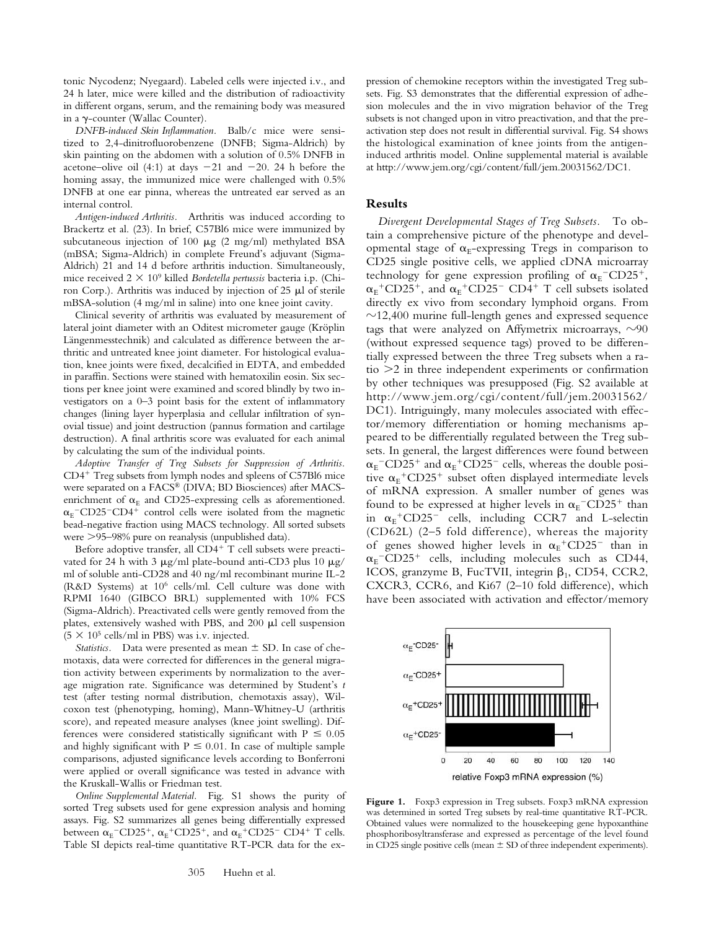tonic Nycodenz; Nyegaard). Labeled cells were injected i.v., and 24 h later, mice were killed and the distribution of radioactivity in different organs, serum, and the remaining body was measured in a γ-counter (Wallac Counter).

*DNFB-induced Skin Inflammation.* Balb/c mice were sensitized to 2,4-dinitrofluorobenzene (DNFB; Sigma-Aldrich) by skin painting on the abdomen with a solution of 0.5% DNFB in acetone–olive oil (4:1) at days  $-21$  and  $-20$ . 24 h before the homing assay, the immunized mice were challenged with 0.5% DNFB at one ear pinna, whereas the untreated ear served as an internal control.

*Antigen-induced Arthritis.* Arthritis was induced according to Brackertz et al. (23). In brief, C57Bl6 mice were immunized by subcutaneous injection of 100  $\mu$ g (2 mg/ml) methylated BSA (mBSA; Sigma-Aldrich) in complete Freund's adjuvant (Sigma-Aldrich) 21 and 14 d before arthritis induction. Simultaneously, mice received  $2 \times 10^9$  killed *Bordetella pertussis* bacteria i.p. (Chiron Corp.). Arthritis was induced by injection of  $25 \mu l$  of sterile mBSA-solution (4 mg/ml in saline) into one knee joint cavity.

Clinical severity of arthritis was evaluated by measurement of lateral joint diameter with an Oditest micrometer gauge (Kröplin Längenmesstechnik) and calculated as difference between the arthritic and untreated knee joint diameter. For histological evaluation, knee joints were fixed, decalcified in EDTA, and embedded in paraffin. Sections were stained with hematoxilin eosin. Six sections per knee joint were examined and scored blindly by two investigators on a 0–3 point basis for the extent of inflammatory changes (lining layer hyperplasia and cellular infiltration of synovial tissue) and joint destruction (pannus formation and cartilage destruction). A final arthritis score was evaluated for each animal by calculating the sum of the individual points.

*Adoptive Transfer of Treg Subsets for Suppression of Arthritis.* CD4- Treg subsets from lymph nodes and spleens of C57Bl6 mice were separated on a FACS® (DIVA; BD Biosciences) after MACSenrichment of  $\alpha_E$  and CD25-expressing cells as aforementioned.  $\alpha_{\rm E}$ <sup>-</sup>CD25<sup>-</sup>CD4<sup>+</sup> control cells were isolated from the magnetic bead-negative fraction using MACS technology. All sorted subsets were 95–98% pure on reanalysis (unpublished data).

Before adoptive transfer, all CD4+ T cell subsets were preactivated for 24 h with 3  $\mu$ g/ml plate-bound anti-CD3 plus 10  $\mu$ g/ ml of soluble anti-CD28 and 40 ng/ml recombinant murine IL-2 (R&D Systems) at 106 cells/ml. Cell culture was done with RPMI 1640 (GIBCO BRL) supplemented with 10% FCS (Sigma-Aldrich). Preactivated cells were gently removed from the plates, extensively washed with PBS, and  $200 \mu l$  cell suspension  $(5 \times 10^5 \text{ cells/ml in PBS})$  was i.v. injected.

*Statistics.* Data were presented as mean  $\pm$  SD. In case of chemotaxis, data were corrected for differences in the general migration activity between experiments by normalization to the average migration rate. Significance was determined by Student's *t* test (after testing normal distribution, chemotaxis assay), Wilcoxon test (phenotyping, homing), Mann-Whitney-U (arthritis score), and repeated measure analyses (knee joint swelling). Differences were considered statistically significant with  $P \leq 0.05$ and highly significant with  $P \leq 0.01$ . In case of multiple sample comparisons, adjusted significance levels according to Bonferroni were applied or overall significance was tested in advance with the Kruskall-Wallis or Friedman test.

*Online Supplemental Material.* Fig. S1 shows the purity of sorted Treg subsets used for gene expression analysis and homing assays. Fig. S2 summarizes all genes being differentially expressed between  $\alpha_{\rm E}$ <sup>-</sup>CD25<sup>+</sup>,  $\alpha_{\rm E}$ <sup>+</sup>CD25<sup>+</sup>, and  $\alpha_{\rm E}$ <sup>+</sup>CD25<sup>-</sup> CD4<sup>+</sup> T cells. Table SI depicts real-time quantitative RT-PCR data for the expression of chemokine receptors within the investigated Treg subsets. Fig. S3 demonstrates that the differential expression of adhesion molecules and the in vivo migration behavior of the Treg subsets is not changed upon in vitro preactivation, and that the preactivation step does not result in differential survival. Fig. S4 shows the histological examination of knee joints from the antigeninduced arthritis model. Online supplemental material is available at http://www.jem.org/cgi/content/full/jem.20031562/DC1.

#### **Results**

*Divergent Developmental Stages of Treg Subsets.* To obtain a comprehensive picture of the phenotype and developmental stage of  $\alpha_E$ -expressing Tregs in comparison to CD25 single positive cells, we applied cDNA microarray technology for gene expression profiling of  $\alpha_{E}$ <sup>-</sup>CD25<sup>+</sup>,  $\alpha_{E}$ <sup>+</sup>CD25<sup>+</sup>, and  $\alpha_{E}$ <sup>+</sup>CD25<sup>-</sup> CD4<sup>+</sup> T cell subsets isolated directly ex vivo from secondary lymphoid organs. From  $\sim$ 12,400 murine full-length genes and expressed sequence tags that were analyzed on Affymetrix microarrays,  $\sim$ 90 (without expressed sequence tags) proved to be differentially expressed between the three Treg subsets when a ratio  $>$ 2 in three independent experiments or confirmation by other techniques was presupposed (Fig. S2 available at http://www.jem.org/cgi/content/full/jem.20031562/ DC1). Intriguingly, many molecules associated with effector/memory differentiation or homing mechanisms appeared to be differentially regulated between the Treg subsets. In general, the largest differences were found between  $\alpha_{\rm E}$ <sup>-</sup>CD25<sup>+</sup> and  $\alpha_{\rm E}$ <sup>+</sup>CD25<sup>-</sup> cells, whereas the double positive  $\alpha_{E}$ <sup>+</sup>CD25<sup>+</sup> subset often displayed intermediate levels of mRNA expression. A smaller number of genes was found to be expressed at higher levels in  $\alpha_{\rm E}$ <sup>-</sup>CD25<sup>+</sup> than in  $\alpha_E$ <sup>+</sup>CD25<sup>-</sup> cells, including CCR7 and L-selectin (CD62L) (2–5 fold difference), whereas the majority of genes showed higher levels in  $\alpha_E$ <sup>+</sup>CD25<sup>-</sup> than in  $\alpha_{\rm E}$ <sup>-</sup>CD25<sup>+</sup> cells, including molecules such as CD44, ICOS, granzyme B, FucTVII, integrin  $\beta_1$ , CD54, CCR2, CXCR3, CCR6, and Ki67 (2–10 fold difference), which have been associated with activation and effector/memory



Figure 1. Foxp3 expression in Treg subsets. Foxp3 mRNA expression was determined in sorted Treg subsets by real-time quantitative RT-PCR. Obtained values were normalized to the housekeeping gene hypoxanthine phosphoribosyltransferase and expressed as percentage of the level found in CD25 single positive cells (mean  $\pm$  SD of three independent experiments).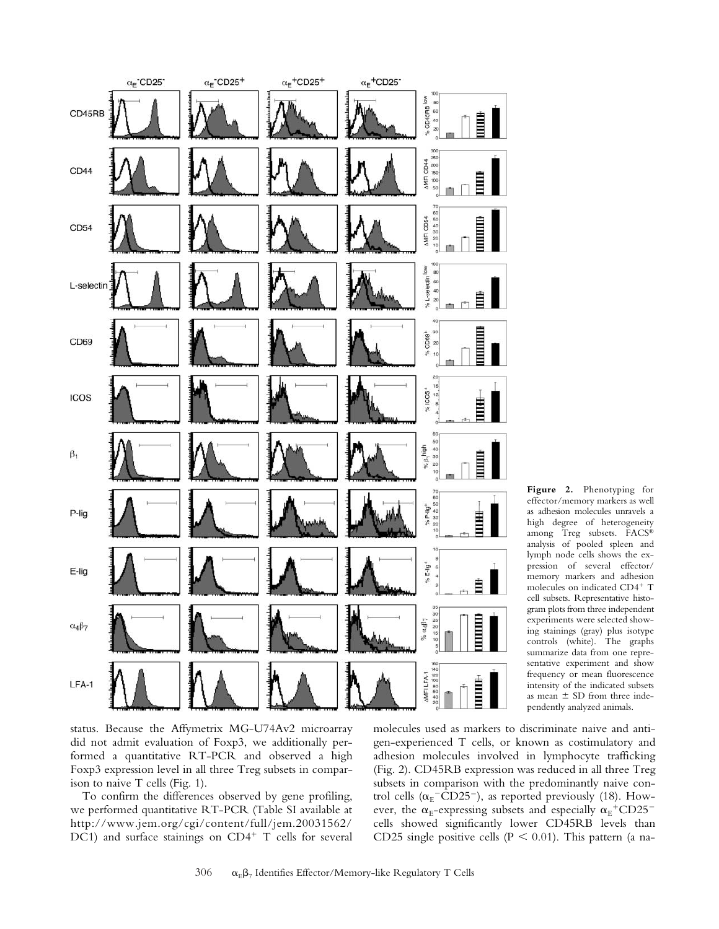

 $\alpha_{\mathsf{E}}$  CD25<sup>+</sup>

 $\alpha$ <sub>E</sub> CD25<sup>-</sup>

CD45RB

 $\alpha_{\rm E}^{\mbox{{\scriptsize +}}}\mbox{{\scriptsize CD25^+}}$ 

 $\alpha_{\mathsf{E}}^{\mathsf{+C D25^{\textstyle\cdot}}}$ 

ow

To confirm the differences observed by gene profiling, we performed quantitative RT-PCR (Table SI available at http://www.jem.org/cgi/content/full/jem.20031562/ DC1) and surface stainings on CD4<sup>+</sup> T cells for several

ison to naive T cells (Fig. 1).

molecules used as markers to discriminate naive and antigen-experienced T cells, or known as costimulatory and adhesion molecules involved in lymphocyte trafficking (Fig. 2). CD45RB expression was reduced in all three Treg subsets in comparison with the predominantly naive control cells ( $\alpha_{\rm E}$ <sup>-</sup>CD25<sup>-</sup>), as reported previously (18). However, the  $\alpha_{\rm E}$ -expressing subsets and especially  $\alpha_{\rm E}^{\rm +}$ CD25<sup>-</sup> cells showed significantly lower CD45RB levels than CD25 single positive cells ( $P \le 0.01$ ). This pattern (a na-

**Figure 2.** Phenotyping for effector/memory markers as well as adhesion molecules unravels a high degree of heterogeneity among Treg subsets. FACS® analysis of pooled spleen and lymph node cells shows the expression of several effector/ memory markers and adhesion molecules on indicated CD4<sup>+</sup> T cell subsets. Representative histogram plots from three independent experiments were selected showing stainings (gray) plus isotype controls (white). The graphs summarize data from one representative experiment and show frequency or mean fluorescence intensity of the indicated subsets as mean  $\pm$  SD from three independently analyzed animals.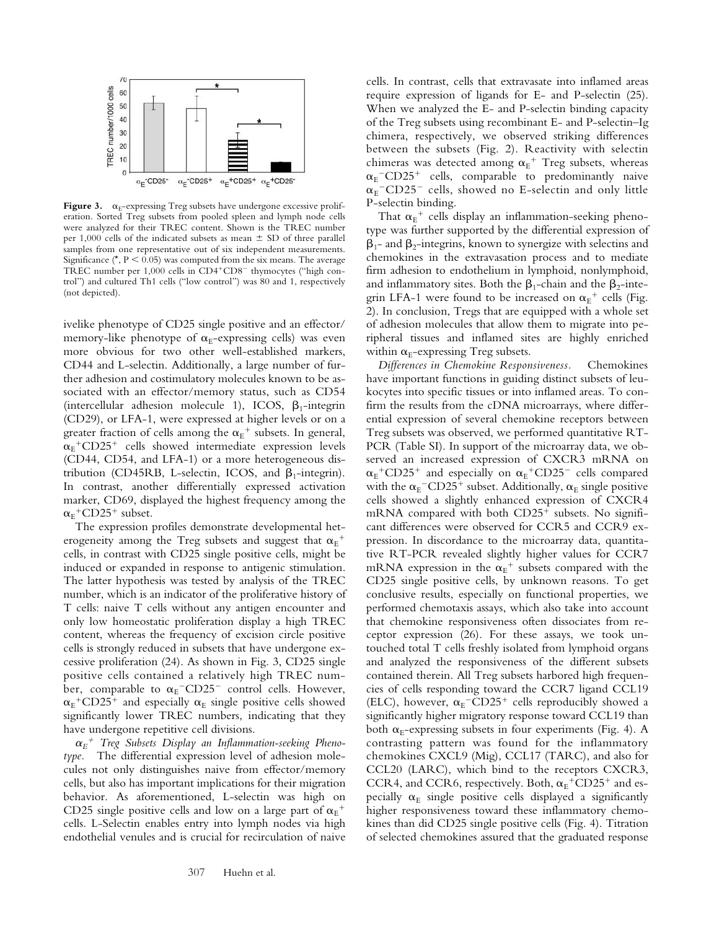

**Figure 3.**  $\alpha_E$ -expressing Treg subsets have undergone excessive proliferation. Sorted Treg subsets from pooled spleen and lymph node cells were analyzed for their TREC content. Shown is the TREC number per 1,000 cells of the indicated subsets as mean  $\pm$  SD of three parallel samples from one representative out of six independent measurements. Significance  $(*, P < 0.05)$  was computed from the six means. The average TREC number per 1,000 cells in CD4<sup>+</sup>CD8<sup>-</sup> thymocytes ("high control") and cultured Th1 cells ("low control") was 80 and 1, respectively (not depicted).

ivelike phenotype of CD25 single positive and an effector/ memory-like phenotype of  $\alpha$ <sub>E</sub>-expressing cells) was even more obvious for two other well-established markers, CD44 and L-selectin. Additionally, a large number of further adhesion and costimulatory molecules known to be associated with an effector/memory status, such as CD54 (intercellular adhesion molecule 1), ICOS,  $\beta_1$ -integrin (CD29), or LFA-1, were expressed at higher levels or on a greater fraction of cells among the  $\alpha_{E}^{\phantom{\dag}}$  subsets. In general,  $\alpha_{\rm E}$ <sup>+</sup>CD25<sup>+</sup> cells showed intermediate expression levels (CD44, CD54, and LFA-1) or a more heterogeneous distribution (CD45RB, L-selectin, ICOS, and  $\beta_1$ -integrin). In contrast, another differentially expressed activation marker, CD69, displayed the highest frequency among the  $\alpha_{\rm E}$ <sup>+</sup>CD25<sup>+</sup> subset.

The expression profiles demonstrate developmental heterogeneity among the Treg subsets and suggest that  $\alpha_{E}^{\phantom{\dag}}{}^+$ cells, in contrast with CD25 single positive cells, might be induced or expanded in response to antigenic stimulation. The latter hypothesis was tested by analysis of the TREC number, which is an indicator of the proliferative history of T cells: naive T cells without any antigen encounter and only low homeostatic proliferation display a high TREC content, whereas the frequency of excision circle positive cells is strongly reduced in subsets that have undergone excessive proliferation (24). As shown in Fig. 3, CD25 single positive cells contained a relatively high TREC number, comparable to  $\alpha_{\rm E}$ <sup>-</sup>CD25<sup>-</sup> control cells. However,  $\alpha_{\rm E}$ <sup>+</sup>CD25<sup>+</sup> and especially  $\alpha_{\rm E}$  single positive cells showed significantly lower TREC numbers, indicating that they have undergone repetitive cell divisions.

*E* - *Treg Subsets Display an Inflammation-seeking Phenotype.* The differential expression level of adhesion molecules not only distinguishes naive from effector/memory cells, but also has important implications for their migration behavior. As aforementioned, L-selectin was high on CD25 single positive cells and low on a large part of  $\alpha_{E}^{\text{+}}$ cells. L-Selectin enables entry into lymph nodes via high endothelial venules and is crucial for recirculation of naive

cells. In contrast, cells that extravasate into inflamed areas require expression of ligands for E- and P-selectin (25). When we analyzed the E- and P-selectin binding capacity of the Treg subsets using recombinant E- and P-selectin–Ig chimera, respectively, we observed striking differences between the subsets (Fig. 2). Reactivity with selectin chimeras was detected among  $\alpha_E^+$  Treg subsets, whereas  $\alpha_{\rm E}$ <sup>-</sup>CD25<sup>+</sup> cells, comparable to predominantly naive  $\alpha_{\rm E}$ <sup>-</sup>CD25<sup>-</sup> cells, showed no E-selectin and only little P-selectin binding.

That  $\alpha_E^+$  cells display an inflammation-seeking phenotype was further supported by the differential expression of  $\beta_1$ - and  $\beta_2$ -integrins, known to synergize with selectins and chemokines in the extravasation process and to mediate firm adhesion to endothelium in lymphoid, nonlymphoid, and inflammatory sites. Both the  $\beta_1$ -chain and the  $\beta_2$ -integrin LFA-1 were found to be increased on  $\alpha_{E}^{\text{+}}$  cells (Fig. 2). In conclusion, Tregs that are equipped with a whole set of adhesion molecules that allow them to migrate into peripheral tissues and inflamed sites are highly enriched within  $\alpha_{E}$ -expressing Treg subsets.

*Differences in Chemokine Responsiveness.* Chemokines have important functions in guiding distinct subsets of leukocytes into specific tissues or into inflamed areas. To confirm the results from the cDNA microarrays, where differential expression of several chemokine receptors between Treg subsets was observed, we performed quantitative RT-PCR (Table SI). In support of the microarray data, we observed an increased expression of CXCR3 mRNA on  $\alpha_{\rm E}^{\rm +}$ CD25<sup>+</sup> and especially on  $\alpha_{\rm E}^{\rm +}$ CD25<sup>-</sup> cells compared with the  $\alpha_{\rm E}$ <sup>-</sup>CD25<sup>+</sup> subset. Additionally,  $\alpha_{\rm E}$  single positive cells showed a slightly enhanced expression of CXCR4 mRNA compared with both CD25<sup>+</sup> subsets. No significant differences were observed for CCR5 and CCR9 expression. In discordance to the microarray data, quantitative RT-PCR revealed slightly higher values for CCR7 mRNA expression in the  $\alpha_E^+$  subsets compared with the CD25 single positive cells, by unknown reasons. To get conclusive results, especially on functional properties, we performed chemotaxis assays, which also take into account that chemokine responsiveness often dissociates from receptor expression (26). For these assays, we took untouched total T cells freshly isolated from lymphoid organs and analyzed the responsiveness of the different subsets contained therein. All Treg subsets harbored high frequencies of cells responding toward the CCR7 ligand CCL19 (ELC), however,  $\alpha_E$ <sup>-</sup>CD25<sup>+</sup> cells reproducibly showed a significantly higher migratory response toward CCL19 than both  $\alpha_{E}$ -expressing subsets in four experiments (Fig. 4). A contrasting pattern was found for the inflammatory chemokines CXCL9 (Mig), CCL17 (TARC), and also for CCL20 (LARC), which bind to the receptors CXCR3, CCR4, and CCR6, respectively. Both,  $\alpha_E$ <sup>+</sup>CD25<sup>+</sup> and especially  $\alpha_E$  single positive cells displayed a significantly higher responsiveness toward these inflammatory chemokines than did CD25 single positive cells (Fig. 4). Titration of selected chemokines assured that the graduated response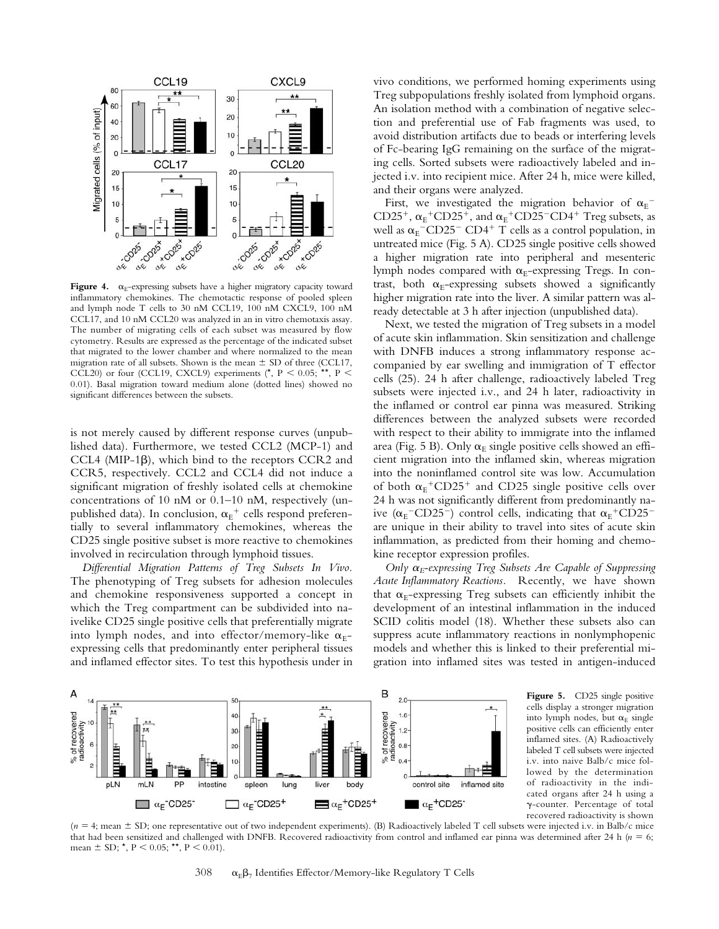

**Figure 4.**  $\alpha_{\text{E}}$ -expressing subsets have a higher migratory capacity toward inflammatory chemokines. The chemotactic response of pooled spleen and lymph node T cells to 30 nM CCL19, 100 nM CXCL9, 100 nM CCL17, and 10 nM CCL20 was analyzed in an in vitro chemotaxis assay. The number of migrating cells of each subset was measured by flow cytometry. Results are expressed as the percentage of the indicated subset that migrated to the lower chamber and where normalized to the mean migration rate of all subsets. Shown is the mean  $\pm$  SD of three (CCL17, CCL20) or four (CCL19, CXCL9) experiments (\*, P < 0.05; \*\*, P < 0.01). Basal migration toward medium alone (dotted lines) showed no significant differences between the subsets.

is not merely caused by different response curves (unpublished data). Furthermore, we tested CCL2 (MCP-1) and CCL4 (MIP-1 $\beta$ ), which bind to the receptors CCR2 and CCR5, respectively. CCL2 and CCL4 did not induce a significant migration of freshly isolated cells at chemokine concentrations of 10 nM or 0.1–10 nM, respectively (unpublished data). In conclusion,  $\alpha_{\rm E}{}^+$  cells respond preferentially to several inflammatory chemokines, whereas the CD25 single positive subset is more reactive to chemokines involved in recirculation through lymphoid tissues.

*Differential Migration Patterns of Treg Subsets In Vivo.* The phenotyping of Treg subsets for adhesion molecules and chemokine responsiveness supported a concept in which the Treg compartment can be subdivided into naivelike CD25 single positive cells that preferentially migrate into lymph nodes, and into effector/memory-like  $\alpha_{E}$ expressing cells that predominantly enter peripheral tissues and inflamed effector sites. To test this hypothesis under in

vivo conditions, we performed homing experiments using Treg subpopulations freshly isolated from lymphoid organs. An isolation method with a combination of negative selection and preferential use of Fab fragments was used, to avoid distribution artifacts due to beads or interfering levels of Fc-bearing IgG remaining on the surface of the migrating cells. Sorted subsets were radioactively labeled and injected i.v. into recipient mice. After 24 h, mice were killed, and their organs were analyzed.

First, we investigated the migration behavior of  $\alpha_{E}^{-}$ CD25<sup>+</sup>,  $\alpha_E$ <sup>+</sup>CD25<sup>+</sup>, and  $\alpha_E$ <sup>+</sup>CD25<sup>-</sup>CD4<sup>+</sup> Treg subsets, as well as  $\alpha_{\rm E}$ <sup>-</sup>CD25<sup>-</sup> CD4<sup>+</sup> T cells as a control population, in untreated mice (Fig. 5 A). CD25 single positive cells showed a higher migration rate into peripheral and mesenteric lymph nodes compared with  $\alpha_E$ -expressing Tregs. In contrast, both  $\alpha_{\rm E}$ -expressing subsets showed a significantly higher migration rate into the liver. A similar pattern was already detectable at 3 h after injection (unpublished data).

Next, we tested the migration of Treg subsets in a model of acute skin inflammation. Skin sensitization and challenge with DNFB induces a strong inflammatory response accompanied by ear swelling and immigration of T effector cells (25). 24 h after challenge, radioactively labeled Treg subsets were injected i.v., and 24 h later, radioactivity in the inflamed or control ear pinna was measured. Striking differences between the analyzed subsets were recorded with respect to their ability to immigrate into the inflamed area (Fig. 5 B). Only  $\alpha_E$  single positive cells showed an efficient migration into the inflamed skin, whereas migration into the noninflamed control site was low. Accumulation of both  $\alpha_{E}$ <sup>+</sup>CD25<sup>+</sup> and CD25 single positive cells over 24 h was not significantly different from predominantly naive ( $\alpha_{\rm E}$ <sup>-</sup>CD25<sup>-</sup>) control cells, indicating that  $\alpha_{\rm E}$ <sup>+</sup>CD25<sup>-</sup> are unique in their ability to travel into sites of acute skin inflammation, as predicted from their homing and chemokine receptor expression profiles.

*Only E-expressing Treg Subsets Are Capable of Suppressing Acute Inflammatory Reactions.* Recently, we have shown that  $\alpha_{E}$ -expressing Treg subsets can efficiently inhibit the development of an intestinal inflammation in the induced SCID colitis model (18). Whether these subsets also can suppress acute inflammatory reactions in nonlymphopenic models and whether this is linked to their preferential migration into inflamed sites was tested in antigen-induced



**Figure 5.** CD25 single positive cells display a stronger migration into lymph nodes, but  $\alpha_E$  single positive cells can efficiently enter inflamed sites. (A) Radioactively labeled T cell subsets were injected i.v. into naive Balb/c mice followed by the determination of radioactivity in the indicated organs after 24 h using a -counter. Percentage of total recovered radioactivity is shown

(*n* = 4; mean ± SD; one representative out of two independent experiments). (B) Radioactively labeled T cell subsets were injected i.v. in Balb/c mice that had been sensitized and challenged with DNFB. Recovered radioactivity from control and inflamed ear pinna was determined after 24 h  $(n = 6;$ mean  $\pm$  SD; \*, P < 0.05; \*\*, P < 0.01).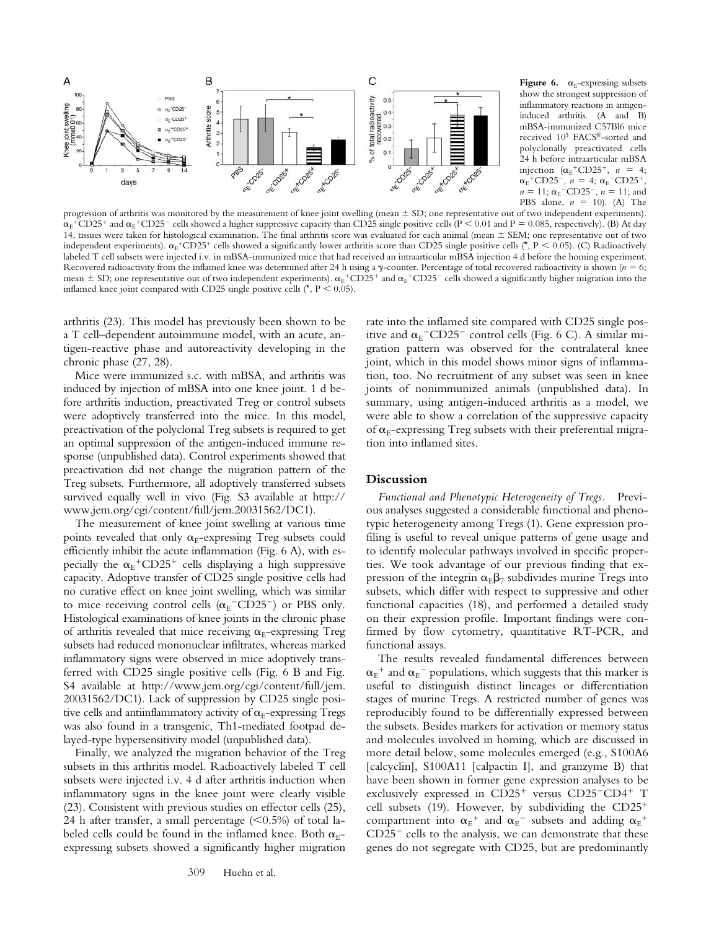

**Figure 6.**  $\alpha$ <sub>E</sub>-expressing subsets show the strongest suppression of inflammatory reactions in antigeninduced arthritis. (A and B) mBSA-immunized C57Bl6 mice received 105 FACS®-sorted and polyclonally preactivated cells 24 h before intraarticular mBSA injection  $(\alpha_E^+ \text{CD25}^+, n = 4;$  $\alpha_{E}$ <sup>+</sup>CD25<sup>-</sup>,  $n = 4$ ;  $\alpha_{E}$ <sup>-</sup>CD25<sup>+</sup>,  $n = 11$ ;  $\alpha_{\rm E}$ <sup>-</sup>CD25<sup>-</sup>,  $n = 11$ ; and PBS alone,  $n = 10$ ). (A) The

progression of arthritis was monitored by the measurement of knee joint swelling (mean  $\pm$  SD; one representative out of two independent experiments).  $\alpha_{\rm E}$ +CD25+ and  $\alpha_{\rm E}$ +CD25- cells showed a higher suppressive capacity than CD25 single positive cells (P < 0.01 and P = 0.085, respectively). (B) At day 14, tissues were taken for histological examination. The final arthritis score was evaluated for each animal (mean  $\pm$  SEM; one representative out of two independent experiments).  $\alpha_{E}$ +CD25+ cells showed a significantly lower arthritis score than CD25 single positive cells (\*, P < 0.05). (C) Radioactively labeled T cell subsets were injected i.v. in mBSA-immunized mice that had received an intraarticular mBSA injection 4 d before the homing experiment. Recovered radioactivity from the inflamed knee was determined after 24 h using a  $\gamma$ -counter. Percentage of total recovered radioactivity is shown ( $n = 6$ ; mean  $\pm$  SD; one representative out of two independent experiments).  $\alpha_E^+$ CD25<sup>+</sup> and  $\alpha_E^+$ CD25<sup>+</sup> cells showed a significantly higher migration into the inflamed knee joint compared with CD25 single positive cells ( $^{\star}$ , P < 0.05).

arthritis (23). This model has previously been shown to be a T cell–dependent autoimmune model, with an acute, antigen-reactive phase and autoreactivity developing in the chronic phase (27, 28).

Mice were immunized s.c. with mBSA, and arthritis was induced by injection of mBSA into one knee joint. 1 d before arthritis induction, preactivated Treg or control subsets were adoptively transferred into the mice. In this model, preactivation of the polyclonal Treg subsets is required to get an optimal suppression of the antigen-induced immune response (unpublished data). Control experiments showed that preactivation did not change the migration pattern of the Treg subsets. Furthermore, all adoptively transferred subsets survived equally well in vivo (Fig. S3 available at http:// www.jem.org/cgi/content/full/jem.20031562/DC1).

The measurement of knee joint swelling at various time points revealed that only  $\alpha_{E}$ -expressing Treg subsets could efficiently inhibit the acute inflammation (Fig. 6 A), with especially the  $\alpha_{E}$ <sup>+</sup>CD25<sup>+</sup> cells displaying a high suppressive capacity. Adoptive transfer of CD25 single positive cells had no curative effect on knee joint swelling, which was similar to mice receiving control cells  $(\alpha_{E}$ <sup>-</sup>CD25<sup>-</sup>) or PBS only. Histological examinations of knee joints in the chronic phase of arthritis revealed that mice receiving  $\alpha_{E}$ -expressing Treg subsets had reduced mononuclear infiltrates, whereas marked inflammatory signs were observed in mice adoptively transferred with CD25 single positive cells (Fig. 6 B and Fig. S4 available at http://www.jem.org/cgi/content/full/jem. 20031562/DC1). Lack of suppression by CD25 single positive cells and antiinflammatory activity of  $\alpha_{E}$ -expressing Tregs was also found in a transgenic, Th1-mediated footpad delayed-type hypersensitivity model (unpublished data).

Finally, we analyzed the migration behavior of the Treg subsets in this arthritis model. Radioactively labeled T cell subsets were injected i.v. 4 d after arthritis induction when inflammatory signs in the knee joint were clearly visible (23). Consistent with previous studies on effector cells (25), 24 h after transfer, a small percentage  $(< 0.5\%)$  of total labeled cells could be found in the inflamed knee. Both  $\alpha_{F}$ expressing subsets showed a significantly higher migration

rate into the inflamed site compared with CD25 single positive and  $\alpha_{\rm E}$ <sup>-</sup>CD25<sup>-</sup> control cells (Fig. 6 C). A similar migration pattern was observed for the contralateral knee joint, which in this model shows minor signs of inflammation, too. No recruitment of any subset was seen in knee joints of nonimmunized animals (unpublished data). In summary, using antigen-induced arthritis as a model, we were able to show a correlation of the suppressive capacity of  $\alpha_{\rm E}$ -expressing Treg subsets with their preferential migration into inflamed sites.

#### **Discussion**

*Functional and Phenotypic Heterogeneity of Tregs.* Previous analyses suggested a considerable functional and phenotypic heterogeneity among Tregs (1). Gene expression profiling is useful to reveal unique patterns of gene usage and to identify molecular pathways involved in specific properties. We took advantage of our previous finding that expression of the integrin  $\alpha_{E}\beta_{7}$  subdivides murine Tregs into subsets, which differ with respect to suppressive and other functional capacities (18), and performed a detailed study on their expression profile. Important findings were confirmed by flow cytometry, quantitative RT-PCR, and functional assays.

The results revealed fundamental differences between  $\alpha_{\text{\tiny E}}{}^+$  and  $\alpha_{\text{\tiny E}}{}^-$  populations, which suggests that this marker is useful to distinguish distinct lineages or differentiation stages of murine Tregs. A restricted number of genes was reproducibly found to be differentially expressed between the subsets. Besides markers for activation or memory status and molecules involved in homing, which are discussed in more detail below, some molecules emerged (e.g., S100A6 [calcyclin], S100A11 [calpactin I], and granzyme B) that have been shown in former gene expression analyses to be exclusively expressed in CD25<sup>+</sup> versus CD25<sup>-</sup>CD4<sup>+</sup> T cell subsets (19). However, by subdividing the CD25 compartment into  $\alpha_{E}^{\text{+}}$  and  $\alpha_{E}^{\text{-}}$  subsets and adding  $\alpha_{E}^{\text{+}}$  $CD25$ <sup>-</sup> cells to the analysis, we can demonstrate that these genes do not segregate with CD25, but are predominantly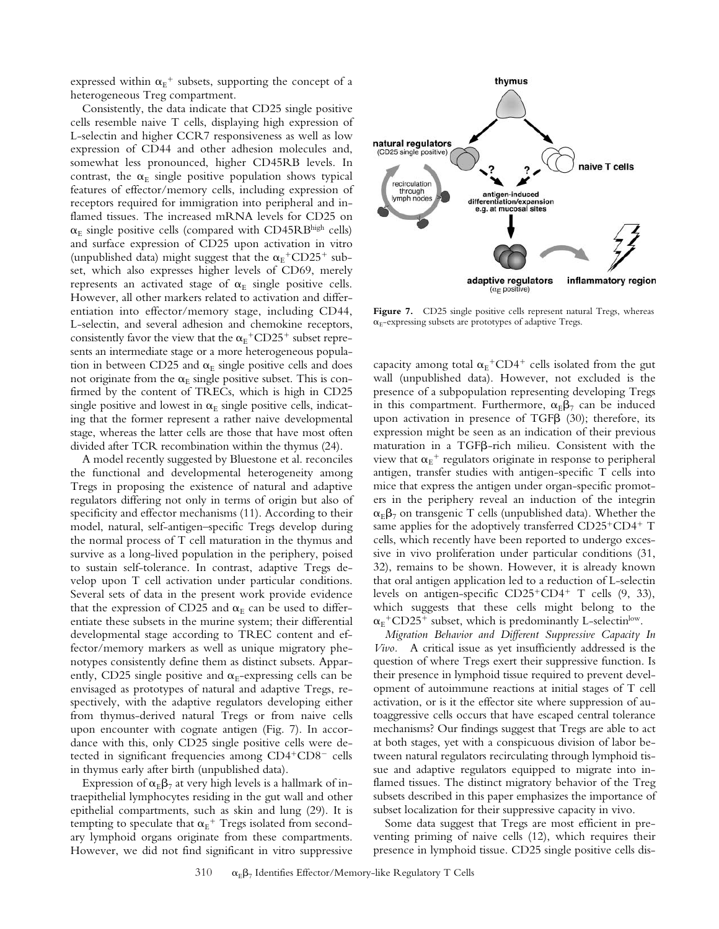expressed within  $\alpha_{E}^{\text{+}}$  subsets, supporting the concept of a heterogeneous Treg compartment.

Consistently, the data indicate that CD25 single positive cells resemble naive T cells, displaying high expression of L-selectin and higher CCR7 responsiveness as well as low expression of CD44 and other adhesion molecules and, somewhat less pronounced, higher CD45RB levels. In contrast, the  $\alpha_F$  single positive population shows typical features of effector/memory cells, including expression of receptors required for immigration into peripheral and inflamed tissues. The increased mRNA levels for CD25 on  $\alpha_E$  single positive cells (compared with CD45RBhigh cells) and surface expression of CD25 upon activation in vitro (unpublished data) might suggest that the  $\alpha_{E}$ <sup>+</sup>CD25<sup>+</sup> subset, which also expresses higher levels of CD69, merely represents an activated stage of  $\alpha_E$  single positive cells. However, all other markers related to activation and differentiation into effector/memory stage, including CD44, L-selectin, and several adhesion and chemokine receptors, consistently favor the view that the  $\alpha_E$ <sup>+</sup>CD25<sup>+</sup> subset represents an intermediate stage or a more heterogeneous population in between CD25 and  $\alpha_E$  single positive cells and does not originate from the  $\alpha_E$  single positive subset. This is confirmed by the content of TRECs, which is high in CD25 single positive and lowest in  $\alpha_E$  single positive cells, indicating that the former represent a rather naive developmental stage, whereas the latter cells are those that have most often divided after TCR recombination within the thymus (24).

A model recently suggested by Bluestone et al. reconciles the functional and developmental heterogeneity among Tregs in proposing the existence of natural and adaptive regulators differing not only in terms of origin but also of specificity and effector mechanisms (11). According to their model, natural, self-antigen–specific Tregs develop during the normal process of T cell maturation in the thymus and survive as a long-lived population in the periphery, poised to sustain self-tolerance. In contrast, adaptive Tregs develop upon T cell activation under particular conditions. Several sets of data in the present work provide evidence that the expression of CD25 and  $\alpha_F$  can be used to differentiate these subsets in the murine system; their differential developmental stage according to TREC content and effector/memory markers as well as unique migratory phenotypes consistently define them as distinct subsets. Apparently, CD25 single positive and  $\alpha$ <sub>E</sub>-expressing cells can be envisaged as prototypes of natural and adaptive Tregs, respectively, with the adaptive regulators developing either from thymus-derived natural Tregs or from naive cells upon encounter with cognate antigen (Fig. 7). In accordance with this, only CD25 single positive cells were detected in significant frequencies among CD4<sup>+</sup>CD8<sup>-</sup> cells in thymus early after birth (unpublished data).

Expression of  $\alpha_{E}\beta_{7}$  at very high levels is a hallmark of intraepithelial lymphocytes residing in the gut wall and other epithelial compartments, such as skin and lung (29). It is tempting to speculate that  $\alpha_{\rm E}^+$  Tregs isolated from secondary lymphoid organs originate from these compartments. However, we did not find significant in vitro suppressive



Figure 7. CD25 single positive cells represent natural Tregs, whereas  $\alpha_{E}$ -expressing subsets are prototypes of adaptive Tregs.

capacity among total  $\alpha_E$ <sup>+</sup>CD4<sup>+</sup> cells isolated from the gut wall (unpublished data). However, not excluded is the presence of a subpopulation representing developing Tregs in this compartment. Furthermore,  $\alpha_{F} \beta_{7}$  can be induced upon activation in presence of TGF $\beta$  (30); therefore, its expression might be seen as an indication of their previous maturation in a TGF $\beta$ -rich milieu. Consistent with the view that  $\alpha_{E}$ <sup>+</sup> regulators originate in response to peripheral antigen, transfer studies with antigen-specific T cells into mice that express the antigen under organ-specific promoters in the periphery reveal an induction of the integrin  $\alpha_{\rm F}\beta_7$  on transgenic T cells (unpublished data). Whether the same applies for the adoptively transferred CD25<sup>+</sup>CD4<sup>+</sup> T cells, which recently have been reported to undergo excessive in vivo proliferation under particular conditions (31, 32), remains to be shown. However, it is already known that oral antigen application led to a reduction of L-selectin levels on antigen-specific  $CD25+CD4+T$  cells  $(9, 33)$ , which suggests that these cells might belong to the  $\alpha_{\rm E}$ <sup>+</sup>CD25<sup>+</sup> subset, which is predominantly L-selectin<sup>low</sup>.

*Migration Behavior and Different Suppressive Capacity In Vivo.* A critical issue as yet insufficiently addressed is the question of where Tregs exert their suppressive function. Is their presence in lymphoid tissue required to prevent development of autoimmune reactions at initial stages of T cell activation, or is it the effector site where suppression of autoaggressive cells occurs that have escaped central tolerance mechanisms? Our findings suggest that Tregs are able to act at both stages, yet with a conspicuous division of labor between natural regulators recirculating through lymphoid tissue and adaptive regulators equipped to migrate into inflamed tissues. The distinct migratory behavior of the Treg subsets described in this paper emphasizes the importance of subset localization for their suppressive capacity in vivo.

Some data suggest that Tregs are most efficient in preventing priming of naive cells (12), which requires their presence in lymphoid tissue. CD25 single positive cells dis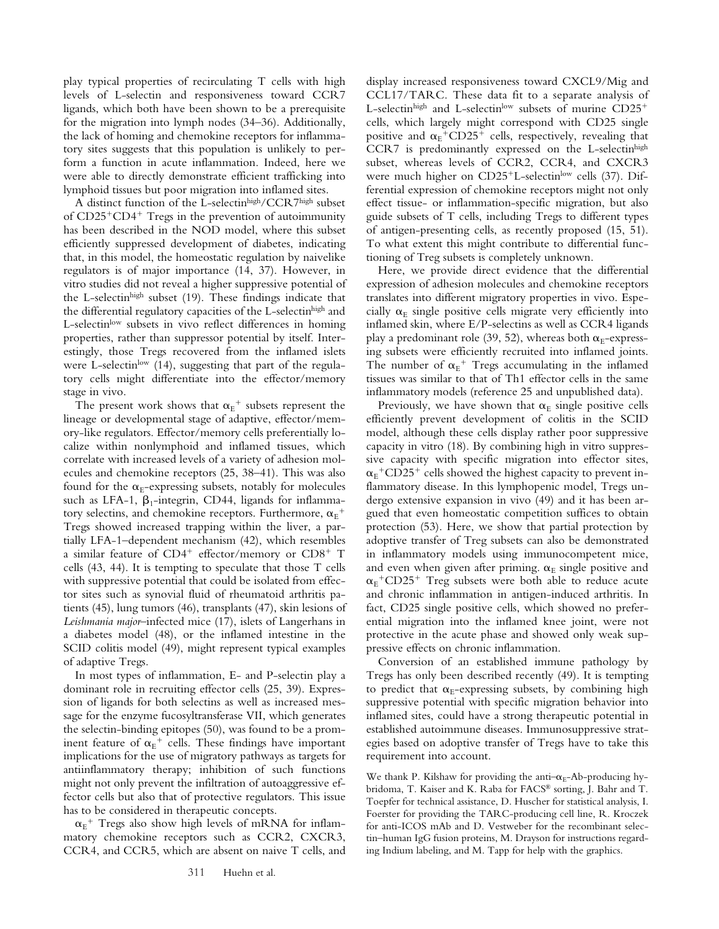play typical properties of recirculating T cells with high levels of L-selectin and responsiveness toward CCR7 ligands, which both have been shown to be a prerequisite for the migration into lymph nodes (34–36). Additionally, the lack of homing and chemokine receptors for inflammatory sites suggests that this population is unlikely to perform a function in acute inflammation. Indeed, here we were able to directly demonstrate efficient trafficking into lymphoid tissues but poor migration into inflamed sites.

A distinct function of the L-selectinhigh/CCR7high subset of CD25<sup>+</sup>CD4<sup>+</sup> Tregs in the prevention of autoimmunity has been described in the NOD model, where this subset efficiently suppressed development of diabetes, indicating that, in this model, the homeostatic regulation by naivelike regulators is of major importance (14, 37). However, in vitro studies did not reveal a higher suppressive potential of the L-selectinhigh subset (19). These findings indicate that the differential regulatory capacities of the L-selectinhigh and L-selectinlow subsets in vivo reflect differences in homing properties, rather than suppressor potential by itself. Interestingly, those Tregs recovered from the inflamed islets were L-selectin<sup>low</sup> (14), suggesting that part of the regulatory cells might differentiate into the effector/memory stage in vivo.

The present work shows that  $\alpha_{E}^{\text{+}}$  subsets represent the lineage or developmental stage of adaptive, effector/memory-like regulators. Effector/memory cells preferentially localize within nonlymphoid and inflamed tissues, which correlate with increased levels of a variety of adhesion molecules and chemokine receptors (25, 38–41). This was also found for the  $\alpha_{E}$ -expressing subsets, notably for molecules such as LFA-1,  $\beta_1$ -integrin, CD44, ligands for inflammatory selectins, and chemokine receptors. Furthermore,  $\alpha_{\rm E}^{\phantom{\rm E}+}$ Tregs showed increased trapping within the liver, a partially LFA-1–dependent mechanism (42), which resembles a similar feature of CD4<sup>+</sup> effector/memory or CD8<sup>+</sup> T cells (43, 44). It is tempting to speculate that those T cells with suppressive potential that could be isolated from effector sites such as synovial fluid of rheumatoid arthritis patients (45), lung tumors (46), transplants (47), skin lesions of *Leishmania major*–infected mice (17), islets of Langerhans in a diabetes model (48), or the inflamed intestine in the SCID colitis model (49), might represent typical examples of adaptive Tregs.

In most types of inflammation, E- and P-selectin play a dominant role in recruiting effector cells (25, 39). Expression of ligands for both selectins as well as increased message for the enzyme fucosyltransferase VII, which generates the selectin-binding epitopes (50), was found to be a prominent feature of  $\alpha_E^+$  cells. These findings have important implications for the use of migratory pathways as targets for antiinflammatory therapy; inhibition of such functions might not only prevent the infiltration of autoaggressive effector cells but also that of protective regulators. This issue has to be considered in therapeutic concepts.

 $\alpha_{E}$ <sup>+</sup> Tregs also show high levels of mRNA for inflammatory chemokine receptors such as CCR2, CXCR3, CCR4, and CCR5, which are absent on naive T cells, and display increased responsiveness toward CXCL9/Mig and CCL17/TARC. These data fit to a separate analysis of L-selectin $^{\text{high}}$  and L-selectin $^{\text{low}}$  subsets of murine  $\text{CD25}^+$ cells, which largely might correspond with CD25 single positive and  $\alpha_{E}$ <sup>+</sup>CD25<sup>+</sup> cells, respectively, revealing that CCR7 is predominantly expressed on the L-selectinhigh subset, whereas levels of CCR2, CCR4, and CXCR3 were much higher on CD25<sup>+</sup>L-selectin<sup>low</sup> cells (37). Differential expression of chemokine receptors might not only effect tissue- or inflammation-specific migration, but also guide subsets of T cells, including Tregs to different types of antigen-presenting cells, as recently proposed (15, 51). To what extent this might contribute to differential functioning of Treg subsets is completely unknown.

Here, we provide direct evidence that the differential expression of adhesion molecules and chemokine receptors translates into different migratory properties in vivo. Especially  $\alpha_E$  single positive cells migrate very efficiently into inflamed skin, where E/P-selectins as well as CCR4 ligands play a predominant role (39, 52), whereas both  $\alpha_{E}$ -expressing subsets were efficiently recruited into inflamed joints. The number of  $\alpha_E^+$  Tregs accumulating in the inflamed tissues was similar to that of Th1 effector cells in the same inflammatory models (reference 25 and unpublished data).

Previously, we have shown that  $\alpha_E$  single positive cells efficiently prevent development of colitis in the SCID model, although these cells display rather poor suppressive capacity in vitro (18). By combining high in vitro suppressive capacity with specific migration into effector sites,  ${\alpha_{\rm E}}^+{\rm CD25^+}$  cells showed the highest capacity to prevent inflammatory disease. In this lymphopenic model, Tregs undergo extensive expansion in vivo (49) and it has been argued that even homeostatic competition suffices to obtain protection (53). Here, we show that partial protection by adoptive transfer of Treg subsets can also be demonstrated in inflammatory models using immunocompetent mice, and even when given after priming.  $\alpha_E$  single positive and  $\alpha_{\rm E}$ <sup>+</sup>CD25<sup>+</sup> Treg subsets were both able to reduce acute and chronic inflammation in antigen-induced arthritis. In fact, CD25 single positive cells, which showed no preferential migration into the inflamed knee joint, were not protective in the acute phase and showed only weak suppressive effects on chronic inflammation.

Conversion of an established immune pathology by Tregs has only been described recently (49). It is tempting to predict that  $\alpha_E$ -expressing subsets, by combining high suppressive potential with specific migration behavior into inflamed sites, could have a strong therapeutic potential in established autoimmune diseases. Immunosuppressive strategies based on adoptive transfer of Tregs have to take this requirement into account.

We thank P. Kilshaw for providing the anti- $\alpha_{F}$ -Ab-producing hybridoma, T. Kaiser and K. Raba for FACS® sorting, J. Bahr and T. Toepfer for technical assistance, D. Huscher for statistical analysis, I. Foerster for providing the TARC-producing cell line, R. Kroczek for anti-ICOS mAb and D. Vestweber for the recombinant selectin–human IgG fusion proteins, M. Drayson for instructions regarding Indium labeling, and M. Tapp for help with the graphics.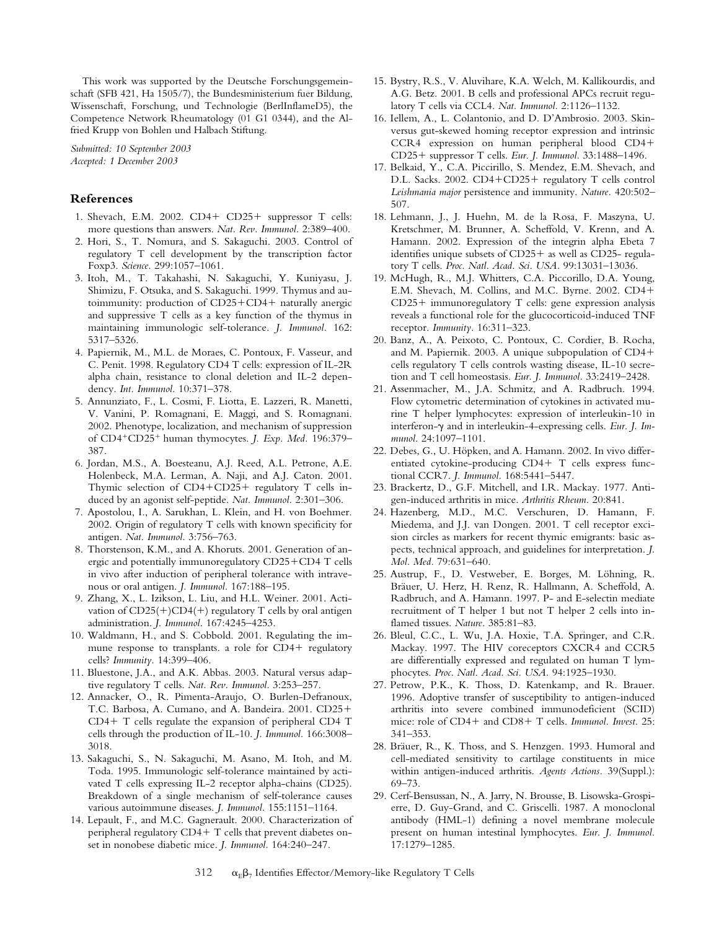This work was supported by the Deutsche Forschungsgemeinschaft (SFB 421, Ha 1505/7), the Bundesministerium fuer Bildung, Wissenschaft, Forschung, und Technologie (BerlInflameD5), the Competence Network Rheumatology (01 G1 0344), and the Alfried Krupp von Bohlen und Halbach Stiftung.

*Submitted: 10 September 2003 Accepted: 1 December 2003*

### **References**

- 1. Shevach, E.M. 2002. CD4+ CD25+ suppressor T cells: more questions than answers. *Nat. Rev. Immunol.* 2:389–400.
- 2. Hori, S., T. Nomura, and S. Sakaguchi. 2003. Control of regulatory T cell development by the transcription factor Foxp3. *Science.* 299:1057–1061.
- 3. Itoh, M., T. Takahashi, N. Sakaguchi, Y. Kuniyasu, J. Shimizu, F. Otsuka, and S. Sakaguchi. 1999. Thymus and autoimmunity: production of CD25+CD4+ naturally anergic and suppressive T cells as a key function of the thymus in maintaining immunologic self-tolerance. *J. Immunol.* 162: 5317–5326.
- 4. Papiernik, M., M.L. de Moraes, C. Pontoux, F. Vasseur, and C. Penit. 1998. Regulatory CD4 T cells: expression of IL-2R alpha chain, resistance to clonal deletion and IL-2 dependency. *Int. Immunol.* 10:371–378.
- 5. Annunziato, F., L. Cosmi, F. Liotta, E. Lazzeri, R. Manetti, V. Vanini, P. Romagnani, E. Maggi, and S. Romagnani. 2002. Phenotype, localization, and mechanism of suppression of CD4-CD25- human thymocytes. *J. Exp. Med.* 196:379– 387.
- 6. Jordan, M.S., A. Boesteanu, A.J. Reed, A.L. Petrone, A.E. Holenbeck, M.A. Lerman, A. Naji, and A.J. Caton. 2001. Thymic selection of CD4+CD25+ regulatory T cells induced by an agonist self-peptide. *Nat. Immunol.* 2:301–306.
- 7. Apostolou, I., A. Sarukhan, L. Klein, and H. von Boehmer. 2002. Origin of regulatory T cells with known specificity for antigen. *Nat. Immunol.* 3:756–763.
- 8. Thorstenson, K.M., and A. Khoruts. 2001. Generation of anergic and potentially immunoregulatory CD25-CD4 T cells in vivo after induction of peripheral tolerance with intravenous or oral antigen. *J. Immunol.* 167:188–195.
- 9. Zhang, X., L. Izikson, L. Liu, and H.L. Weiner. 2001. Activation of CD25(+)CD4(+) regulatory T cells by oral antigen administration. *J. Immunol.* 167:4245–4253.
- 10. Waldmann, H., and S. Cobbold. 2001. Regulating the immune response to transplants. a role for CD4+ regulatory cells? *Immunity.* 14:399–406.
- 11. Bluestone, J.A., and A.K. Abbas. 2003. Natural versus adaptive regulatory T cells. *Nat. Rev. Immunol.* 3:253–257.
- 12. Annacker, O., R. Pimenta-Araujo, O. Burlen-Defranoux, T.C. Barbosa, A. Cumano, and A. Bandeira. 2001. CD25- CD4- T cells regulate the expansion of peripheral CD4 T cells through the production of IL-10. *J. Immunol.* 166:3008– 3018.
- 13. Sakaguchi, S., N. Sakaguchi, M. Asano, M. Itoh, and M. Toda. 1995. Immunologic self-tolerance maintained by activated T cells expressing IL-2 receptor alpha-chains (CD25). Breakdown of a single mechanism of self-tolerance causes various autoimmune diseases. *J. Immunol.* 155:1151–1164.
- 14. Lepault, F., and M.C. Gagnerault. 2000. Characterization of peripheral regulatory CD4+ T cells that prevent diabetes onset in nonobese diabetic mice. *J. Immunol.* 164:240–247.
- 15. Bystry, R.S., V. Aluvihare, K.A. Welch, M. Kallikourdis, and A.G. Betz. 2001. B cells and professional APCs recruit regulatory T cells via CCL4. *Nat. Immunol.* 2:1126–1132.
- 16. Iellem, A., L. Colantonio, and D. D'Ambrosio. 2003. Skinversus gut-skewed homing receptor expression and intrinsic CCR4 expression on human peripheral blood CD4- CD25- suppressor T cells. *Eur. J. Immunol.* 33:1488–1496.
- 17. Belkaid, Y., C.A. Piccirillo, S. Mendez, E.M. Shevach, and D.L. Sacks. 2002. CD4+CD25+ regulatory T cells control *Leishmania major* persistence and immunity. *Nature.* 420:502– 507.
- 18. Lehmann, J., J. Huehn, M. de la Rosa, F. Maszyna, U. Kretschmer, M. Brunner, A. Scheffold, V. Krenn, and A. Hamann. 2002. Expression of the integrin alpha Ebeta 7 identifies unique subsets of CD25- as well as CD25- regulatory T cells. *Proc. Natl. Acad. Sci. USA.* 99:13031–13036.
- 19. McHugh, R., M.J. Whitters, C.A. Piccorillo, D.A. Young, E.M. Shevach, M. Collins, and M.C. Byrne. 2002. CD4- CD25- immunoregulatory T cells: gene expression analysis reveals a functional role for the glucocorticoid-induced TNF receptor. *Immunity.* 16:311–323.
- 20. Banz, A., A. Peixoto, C. Pontoux, C. Cordier, B. Rocha, and M. Papiernik. 2003. A unique subpopulation of CD4 cells regulatory T cells controls wasting disease, IL-10 secretion and T cell homeostasis. *Eur. J. Immunol.* 33:2419–2428.
- 21. Assenmacher, M., J.A. Schmitz, and A. Radbruch. 1994. Flow cytometric determination of cytokines in activated murine T helper lymphocytes: expression of interleukin-10 in interferon- $\gamma$  and in interleukin-4-expressing cells. *Eur. J. Immunol.* 24:1097–1101.
- 22. Debes, G., U. Höpken, and A. Hamann. 2002. In vivo differentiated cytokine-producing CD4+ T cells express functional CCR7. *J. Immunol.* 168:5441–5447.
- 23. Brackertz, D., G.F. Mitchell, and I.R. Mackay. 1977. Antigen-induced arthritis in mice. *Arthritis Rheum.* 20:841.
- 24. Hazenberg, M.D., M.C. Verschuren, D. Hamann, F. Miedema, and J.J. van Dongen. 2001. T cell receptor excision circles as markers for recent thymic emigrants: basic aspects, technical approach, and guidelines for interpretation. *J. Mol. Med.* 79:631–640.
- 25. Austrup, F., D. Vestweber, E. Borges, M. Löhning, R. Bräuer, U. Herz, H. Renz, R. Hallmann, A. Scheffold, A. Radbruch, and A. Hamann. 1997. P- and E-selectin mediate recruitment of T helper 1 but not T helper 2 cells into inflamed tissues. *Nature.* 385:81–83.
- 26. Bleul, C.C., L. Wu, J.A. Hoxie, T.A. Springer, and C.R. Mackay. 1997. The HIV coreceptors CXCR4 and CCR5 are differentially expressed and regulated on human T lymphocytes. *Proc. Natl. Acad. Sci. USA.* 94:1925–1930.
- 27. Petrow, P.K., K. Thoss, D. Katenkamp, and R. Brauer. 1996. Adoptive transfer of susceptibility to antigen-induced arthritis into severe combined immunodeficient (SCID) mice: role of CD4+ and CD8+ T cells. *Immunol. Invest.* 25: 341–353.
- 28. Bräuer, R., K. Thoss, and S. Henzgen. 1993. Humoral and cell-mediated sensitivity to cartilage constituents in mice within antigen-induced arthritis. *Agents Actions.* 39(Suppl.): 69–73.
- 29. Cerf-Bensussan, N., A. Jarry, N. Brousse, B. Lisowska-Grospierre, D. Guy-Grand, and C. Griscelli. 1987. A monoclonal antibody (HML-1) defining a novel membrane molecule present on human intestinal lymphocytes. *Eur. J. Immunol.* 17:1279–1285.